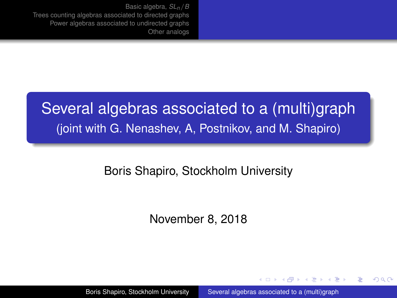# <span id="page-0-0"></span>Several algebras associated to a (multi)graph (joint with G. Nenashev, A, Postnikov, and M. Shapiro)

### Boris Shapiro, Stockholm University

November 8, 2018

Boris Shapiro, Stockholm University [Several algebras associated to a \(multi\)graph](#page-50-0)

医电子 化重子

4 ロ ト ィ *同* ト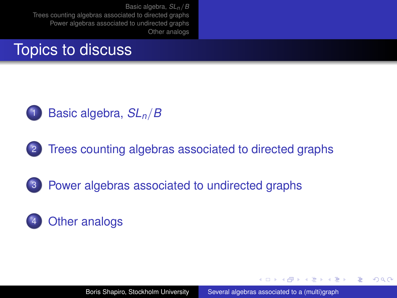## <span id="page-1-0"></span>Topics to discuss



### <sup>1</sup> [Basic algebra,](#page-3-0) *SLn*/*B*



2 [Trees counting algebras associated to directed graphs](#page-9-0)

## 3 [Power algebras associated to undirected graphs](#page-15-0)

## [Other analogs](#page-26-0)

メラメメラト

 $QQ$ 

э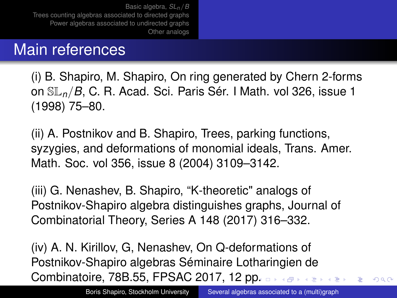## Main references

(i) B. Shapiro, M. Shapiro, On ring generated by Chern 2-forms on SL*n*/*B*, C. R. Acad. Sci. Paris Sér. I Math. vol 326, issue 1 (1998) 75–80.

(ii) A. Postnikov and B. Shapiro, Trees, parking functions, syzygies, and deformations of monomial ideals, Trans. Amer. Math. Soc. vol 356, issue 8 (2004) 3109–3142.

(iii) G. Nenashev, B. Shapiro, "K-theoretic" analogs of Postnikov-Shapiro algebra distinguishes graphs, Journal of Combinatorial Theory, Series A 148 (2017) 316–332.

(iv) A. N. Kirillov, G, Nenashev, On Q-deformations of Postnikov-Shapiro algebras Séminaire Lotharingien de Combinatoire, 78B.55, FPSAC 2017, 12 p[p.](#page-1-0)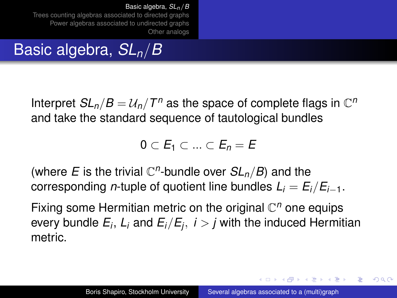# <span id="page-3-0"></span>Basic algebra, *SLn*/*B*

Interpret  $SL_n/B = U_n/T^n$  as the space of complete flags in  $\mathbb{C}^n$ and take the standard sequence of tautological bundles

0 ⊂ *E*<sup>1</sup> ⊂ ... ⊂ *E<sup>n</sup>* = *E*

(where *E* is the trivial  $\mathbb{C}^n$ -bundle over  $SL_n/B$ ) and the corresponding *n*-tuple of quotient line bundles  $L_i = E_i/E_{i-1}$ .

Fixing some Hermitian metric on the original C *<sup>n</sup>* one equips every bundle *E<sup>i</sup>* , *L<sup>i</sup>* and *Ei*/*E<sup>j</sup>* , *i* > *j* with the induced Hermitian metric.

イロメ イ押メ イヨメ イヨメー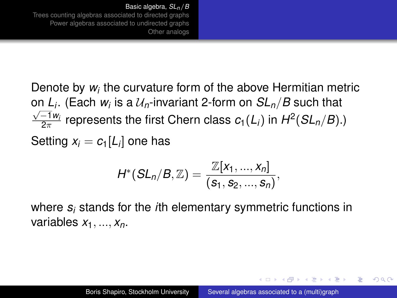Denote by *w<sup>i</sup>* the curvature form of the above Hermitian metric on *L<sup>i</sup>* . (Each *w<sup>i</sup>* is a U*n*-invariant 2-form on *SLn*/*B* such that √  $\frac{-1 w_i}{2\pi}$  represents the first Chern class  $c_1(L_i)$  in  $H^2(SL_n/B)$ .) Setting  $x_i = c_1[L_i]$  one has

$$
H^*(SL_n/B, \mathbb{Z}) = \frac{\mathbb{Z}[x_1, ..., x_n]}{(s_1, s_2, ..., s_n)},
$$

where *s<sup>i</sup>* stands for the *i*th elementary symmetric functions in variables *x*1, ..., *xn*.

イロメ イ押メ イヨメ イヨメー

 $2Q$ 

э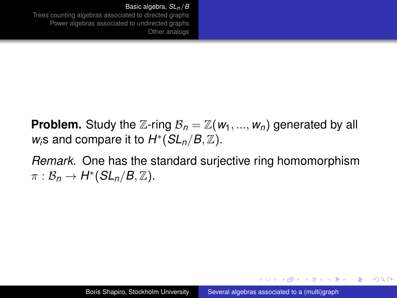#### [Basic algebra,](#page-3-0) *SLn*/*B*

[Trees counting algebras associated to directed graphs](#page-9-0) [Power algebras associated to undirected graphs](#page-15-0) [Other analogs](#page-26-0)

**Problem.** Study the Z-ring  $B_n = \mathbb{Z}(w_1, ..., w_n)$  generated by all  $w_i$ s and compare it to  $H^*(SL_n/B, \mathbb{Z})$ .

*Remark.* One has the standard surjective ring homomorphism  $\pi : \mathcal{B}_n \to H^*(SL_n/B, \mathbb{Z}).$ 

イロメ イ押メ イヨメ イヨメー

 $2Q$ 

э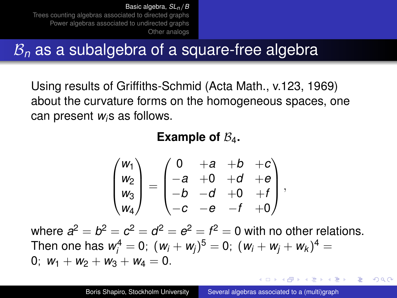# B*<sup>n</sup>* as a subalgebra of a square-free algebra

Using results of Griffiths-Schmid (Acta Math., v.123, 1969) about the curvature forms on the homogeneous spaces, one can present *wi*s as follows.

**Example of**  $\mathcal{B}_4$ .

$$
\begin{pmatrix} w_1 \\ w_2 \\ w_3 \\ w_4 \end{pmatrix} = \begin{pmatrix} 0 & +a & +b & +c \\ -a & +0 & +d & +e \\ -b & -d & +0 & +f \\ -c & -e & -f & +0 \end{pmatrix},
$$

where  $a^2 = b^2 = c^2 = d^2 = e^2 = f^2 = 0$  with no other relations. Then one has  $w^4_i = 0$ ;  $(w_i + w_j)^5 = 0$ ;  $(w_i + w_j + w_k)^4 = 0$ 0;  $w_1 + w_2 + w_3 + w_4 = 0$ .

イロメ イ押メ イヨメ イヨメー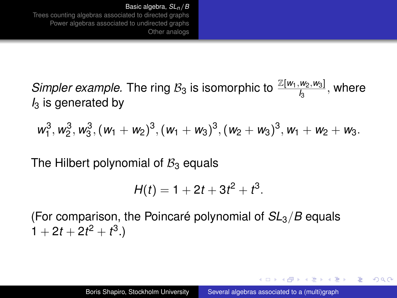*Simpler example.* The ring  $B_3$  is isomorphic to  $\frac{\mathbb{Z}[w_1,w_2,w_3]}{I_3}$ , where *I*<sup>3</sup> is generated by

$$
w_1^3, w_2^3, w_3^3, (w_1 + w_2)^3, (w_1 + w_3)^3, (w_2 + w_3)^3, w_1 + w_2 + w_3.
$$

The Hilbert polynomial of  $B_3$  equals

$$
H(t) = 1 + 2t + 3t^2 + t^3.
$$

(For comparison, the Poincaré polynomial of *SL*3/*B* equals  $1 + 2t + 2t^2 + t^3$ .

イロト イ押 トイヨ トイヨト

 $QQ$ э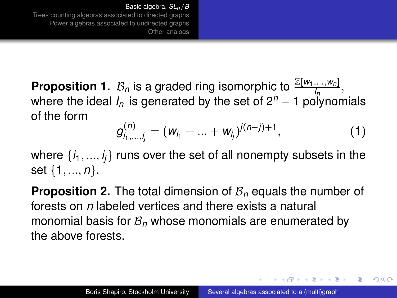<span id="page-8-0"></span>**Proposition 1.**  $\mathcal{B}_n$  is a graded ring isomorphic to  $\frac{\mathbb{Z}[w_1,...,w_n]}{I_n}$ , **In** is a gradual mg isomorphic to  $\frac{1}{2}$  or  $\frac{1}{2}$  in the set of 2<sup>n</sup> − 1 polynomials of the form

$$
g_{i_1,\ldots,i_j}^{(n)}=(w_{i_1}+\ldots+w_{i_j})^{j(n-j)+1}, \hspace{1cm} (1)
$$

イロト イ押 トイヨ トイヨ トー

 $2Q$ 

where  $\{i_1,...,i_j\}$  runs over the set of all nonempty subsets in the set {1, ..., *n*}.

**Proposition 2.** The total dimension of  $B_n$  equals the number of forests on *n* labeled vertices and there exists a natural monomial basis for  $B<sub>n</sub>$  whose monomials are enumerated by the above forests.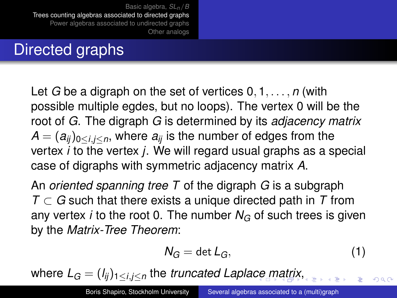# <span id="page-9-0"></span>Directed graphs

Let *G* be a digraph on the set of vertices 0, 1, . . . , *n* (with possible multiple egdes, but no loops). The vertex 0 will be the root of *G*. The digraph *G* is determined by its *adjacency matrix*  $A = (a_{ii})_{0 \le i,j \le n}$ , where  $a_{ii}$  is the number of edges from the vertex *i* to the vertex *j*. We will regard usual graphs as a special case of digraphs with symmetric adjacency matrix *A*.

An *oriented spanning tree T* of the digraph *G* is a subgraph *T* ⊂ *G* such that there exists a unique directed path in *T* from any vertex *i* to the root 0. The number  $N_G$  of such trees is given by the *Matrix-Tree Theorem*:

$$
N_G = \det L_G,\tag{1}
$$

 $\Omega$ 

where *L<sup>G</sup>* = (*l ij*)1≤*i*,*j*≤*<sup>n</sup>* the *truncated Lapla[ce](#page-8-0) [m](#page-10-0)[a](#page-8-0)[tri](#page-9-0)[x](#page-10-0)*[,](#page-0-0)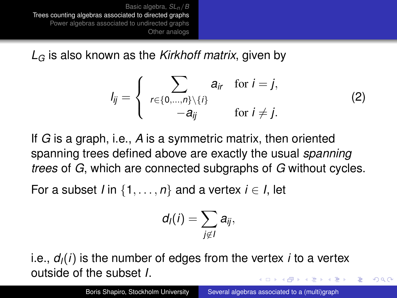<span id="page-10-0"></span>*L<sup>G</sup>* is also known as the *Kirkhoff matrix*, given by

$$
I_{ij} = \begin{cases} \sum_{r \in \{0,\dots,n\} \setminus \{i\}} a_{ir} & \text{for } i = j, \\ -a_{ij} & \text{for } i \neq j. \end{cases}
$$
 (2)

If *G* is a graph, i.e., *A* is a symmetric matrix, then oriented spanning trees defined above are exactly the usual *spanning trees* of *G*, which are connected subgraphs of *G* without cycles.

For a subset *I* in  $\{1, \ldots, n\}$  and a vertex  $i \in I$ , let

$$
d_I(i)=\sum_{j\not\in I}a_{ij},
$$

i.e., *dI*(*i*) is the number of edges from the vertex *i* to a vertex outside of the subset *I*. イロメ イ押 メイヨメ イヨメ

 $\Omega$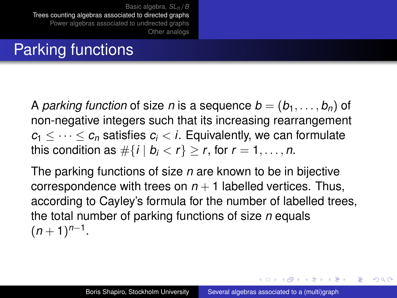# Parking functions

A *parking function* of size *n* is a sequence  $b = (b_1, \ldots, b_n)$  of non-negative integers such that its increasing rearrangement  $c_1 \leq \cdots \leq c_n$  satisfies  $c_i < i$ . Equivalently, we can formulate this condition as  $\#\{i \mid b_i < r\} > r$ , for  $r = 1, \ldots, n$ .

The parking functions of size *n* are known to be in bijective correspondence with trees on  $n + 1$  labelled vertices. Thus, according to Cayley's formula for the number of labelled trees, the total number of parking functions of size *n* equals  $(n+1)^{n-1}$ .

イロメ イ押 メイヨメ イヨメ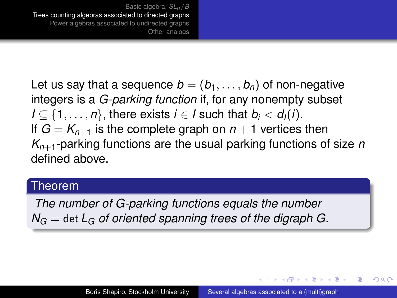Let us say that a sequence  $b = (b_1, \ldots, b_n)$  of non-negative integers is a *G-parking function* if, for any nonempty subset *I* ⊂ {1, . . . , *n*}, there exists *i* ∈ *I* such that *b<sub>i</sub>* < *d<sub>I</sub>*(*i*). If  $G = K_{n+1}$  is the complete graph on  $n+1$  vertices then *Kn*+1-parking functions are the usual parking functions of size *n* defined above.

#### Theorem

*The number of G-parking functions equals the number*  $N_G =$  det  $L_G$  *of oriented spanning trees of the digraph G.* 

イロト イ押 トイヨ トイヨ トー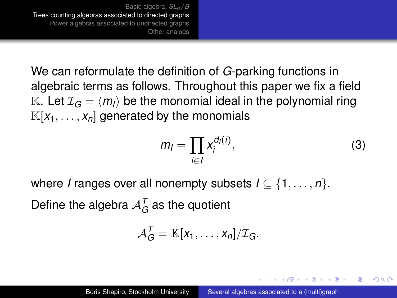We can reformulate the definition of *G*-parking functions in algebraic terms as follows. Throughout this paper we fix a field K. Let  $\mathcal{I}_G = \langle m_l \rangle$  be the monomial ideal in the polynomial ring  $\mathbb{K}[x_1,\ldots,x_n]$  generated by the monomials

$$
m_l = \prod_{i \in l} x_i^{d_l(i)},\tag{3}
$$

イロメ イ押メ イヨメ イヨメー

 $QQ$ 

where *I* ranges over all nonempty subsets  $I \subseteq \{1, \ldots, n\}$ . Define the algebra  $\mathcal{A}^\mathcal{T}_G$  as the quotient

$$
\mathcal{A}_G^T = \mathbb{K}[x_1,\ldots,x_n]/\mathcal{I}_G.
$$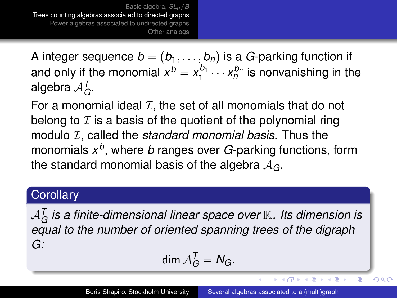A integer sequence  $b = (b_1, \ldots, b_n)$  is a *G*-parking function if and only if the monomial  $x^b = x_1^{b_1} \cdots x_n^{b_n}$  is nonvanishing in the algebra  $\mathcal{A}_G^{\mathcal{T}}$ .

For a monomial ideal  $I$ , the set of all monomials that do not belong to  $I$  is a basis of the quotient of the polynomial ring modulo *I*, called the *standard monomial basis*. Thus the monomials *x b* , where *b* ranges over *G*-parking functions, form the standard monomial basis of the algebra A*G*.

### **Corollary**

 $\mathcal{A}_{G}^{ \mathcal{T}}$  is a finite-dimensional linear space over  $\mathbb{K}_{\cdot}$  Its dimension is *equal to the number of oriented spanning trees of the digraph G:*

$$
\dim \mathcal{A}_G^T = N_G.
$$

4 ロ ) (何 ) (日 ) (日 )

ă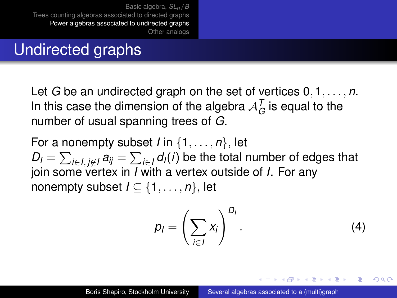# <span id="page-15-0"></span>Undirected graphs

Let *G* be an undirected graph on the set of vertices 0, 1, . . . , *n*. In this case the dimension of the algebra  $\mathcal{A}_G^{\mathcal{T}}$  is equal to the number of usual spanning trees of *G*.

For a nonempty subset *I* in {1, . . . , *n*}, let  $D_l = \sum_{i \in I, \, j \not\in I} a_{ij} = \sum_{i \in I} d_l(i)$  be the total number of edges that join some vertex in *I* with a vertex outside of *I*. For any nonempty subset  $I \subseteq \{1, \ldots, n\}$ , let

$$
p_I = \left(\sum_{i \in I} x_i\right)^{D_I}.
$$
 (4)

イロメ イ押メ イヨメ イヨメー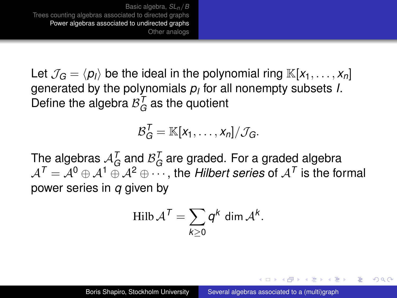Let  $\mathcal{J}_G = \langle p_i \rangle$  be the ideal in the polynomial ring  $\mathbb{K}[x_1, \ldots, x_n]$ generated by the polynomials *p<sup>I</sup>* for all nonempty subsets *I*. Define the algebra  $\mathcal{B}_{G}^{T}$  as the quotient

$$
\mathcal{B}_G^T = \mathbb{K}[x_1,\ldots,x_n]/\mathcal{J}_G.
$$

The algebras  $\mathcal{A}_G^{\mathcal{T}}$  and  $\mathcal{B}_G^{\mathcal{T}}$  are graded. For a graded algebra  $\mathcal{A}^{\mathcal{T}}=\mathcal{A}^0\oplus \mathcal{A}^1\oplus \mathcal{A}^2\oplus \cdots$  , the *Hilbert series* of  $\mathcal{A}^{\mathcal{T}}$  is the formal power series in *q* given by

$$
\operatorname{Hilb} \mathcal{A}^T = \sum_{k \geq 0} q^k \operatorname{dim} \mathcal{A}^k.
$$

イロメ イ押メ イヨメ イヨメー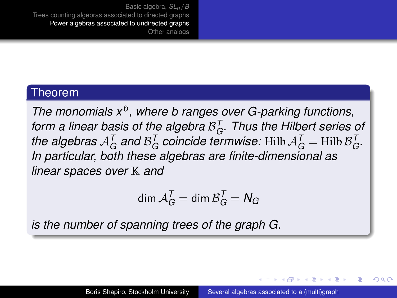#### Theorem

*The monomials x<sup>b</sup> , where b ranges over G-parking functions, form a linear basis of the algebra* B *T . Thus the Hilbert series of* the algebras  $A_G^T$  and  $B_G^T$  coincide termwise: Hilb  $A_G^T$  = Hilb  $B_G^T$ . *In particular, both these algebras are finite-dimensional as linear spaces over* K *and*

$$
\dim \mathcal{A}_G^T = \dim \mathcal{B}_G^T = N_G
$$

*is the number of spanning trees of the graph G.*

<span id="page-17-0"></span>イロト イ押 トイヨ トイヨ トー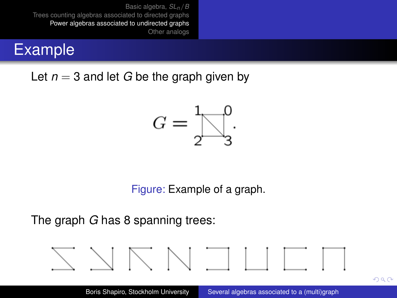## <span id="page-18-0"></span>Example

Let  $n = 3$  and let *G* be the graph given by



Figure: Example of a graph.

The graph *G* has 8 spanning trees:



 $290$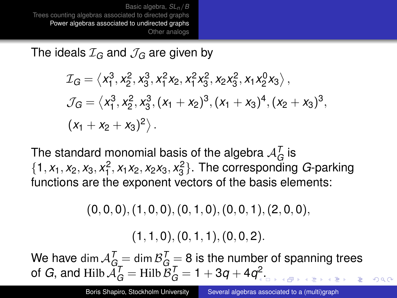The ideals  $\mathcal{I}_G$  and  $\mathcal{J}_G$  are given by

$$
\mathcal{I}_G = \langle x_1^3, x_2^2, x_3^3, x_1^2 x_2, x_1^2 x_3^2, x_2 x_3^2, x_1 x_2^0 x_3 \rangle,
$$
  
\n
$$
\mathcal{J}_G = \langle x_1^3, x_2^2, x_3^3, (x_1 + x_2)^3, (x_1 + x_3)^4, (x_2 + x_3)^3,
$$
  
\n
$$
(x_1 + x_2 + x_3)^2 \rangle.
$$

The standard monomial basis of the algebra  $A_G^{\mathcal{T}}$  is  $\{1, x_1, x_2, x_3, x_1^2, x_1x_2, x_2x_3, x_3^2\}$ . The corresponding *G*-parking functions are the exponent vectors of the basis elements:

 $(0, 0, 0)$ ,  $(1, 0, 0)$ ,  $(0, 1, 0)$ ,  $(0, 0, 1)$ ,  $(2, 0, 0)$ ,

 $(1, 1, 0), (0, 1, 1), (0, 0, 2).$ 

We have dim  $\mathcal{A}_{G_{\pm}}^{\mathcal{T}}=$  dim  $\mathcal{B}_{G_{\pm}}^{\mathcal{T}}=$  8 is the number of spanning trees of *G*, and Hilb  $\tilde{\mathcal{A}}_G^{\mathcal{T}} =$  Hilb  $\tilde{\mathcal{B}}_G^{\mathcal{T}} = 1 + 3q + 4q^2$ [.](#page-18-0)

 $\Omega$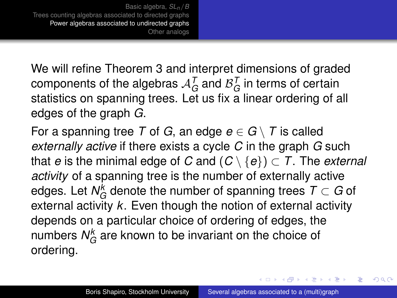We will refine Theorem [3](#page-17-0) and interpret dimensions of graded components of the algebras  $\mathcal{A}_G^{\mathcal{T}}$  and  $\mathcal{B}_G^{\mathcal{T}}$  in terms of certain statistics on spanning trees. Let us fix a linear ordering of all edges of the graph *G*.

For a spanning tree *T* of *G*, an edge  $e \in G \setminus T$  is called *externally active* if there exists a cycle *C* in the graph *G* such that *e* is the minimal edge of *C* and  $(C \setminus \{e\}) \subset T$ . The *external activity* of a spanning tree is the number of externally active edges. Let  $N_G^k$  denote the number of spanning trees  $\mathcal{T} \subset G$  of external activity *k*. Even though the notion of external activity depends on a particular choice of ordering of edges, the numbers  $\mathsf{N}_G^k$  are known to be invariant on the choice of ordering.

→ 唐 > → 唐 >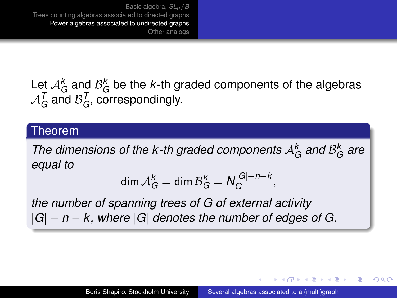Let  $\mathcal{A}_G^k$  and  $\mathcal{B}_G^k$  be the *k*-th graded components of the algebras  $\mathcal{A}_G^{\mathcal{T}}$  and  $\mathcal{B}_G^{\mathcal{T}}$ , correspondingly.

#### Theorem

*The dimensions of the k-th graded components*  $A_G^k$  *and*  $B_G^k$  *are equal to*

$$
\dim \mathcal{A}_G^k = \dim \mathcal{B}_G^k = N_G^{|G|-n-k},
$$

*the number of spanning trees of G of external activity* |*G*| − *n* − *k, where* |*G*| *denotes the number of edges of G.*

**≮ロ ▶ ⊀ 御 ▶ ⊀ ヨ ▶ ⊀ ヨ ▶** 

B

 $QQ$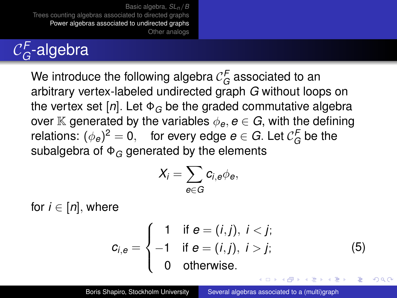#### $\mathcal{C}_{G}^{\textsf{F}}$ *G* -algebra

We introduce the following algebra  $\mathcal{C}_G^{\mathcal{F}}$  associated to an arbitrary vertex-labeled undirected graph *G* without loops on the vertex set  $[n]$ . Let  $\Phi_G$  be the graded commutative algebra over K generated by the variables  $\phi_e, e \in G$ , with the defining relations:  $(\phi_e)^2 = 0$ , for every edge  $e \in G$ . Let  $\mathcal{C}_G^F$  be the subalgebra of Φ*<sup>G</sup>* generated by the elements

$$
X_i = \sum_{e \in G} c_{i,e} \phi_e,
$$

for  $i \in [n]$ , where

$$
c_{i,e} = \begin{cases} 1 & \text{if } e = (i,j), \ i < j; \\ -1 & \text{if } e = (i,j), \ i > j; \\ 0 & \text{otherwise.} \end{cases}
$$
 (5)

イロメ イ押メ イヨメ イヨメー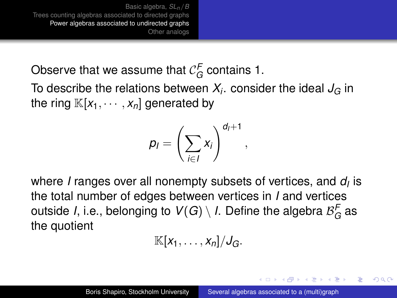Observe that we assume that  $\mathcal{C}_G^{\mathsf{F}}$  contains 1.

To describe the relations between  $X_i$ . consider the ideal  $J_G$  in the ring  $\mathbb{K}[x_1, \dots, x_n]$  generated by

$$
p_I = \left(\sum_{i \in I} x_i\right)^{d_I + 1},
$$

where *I* ranges over all nonempty subsets of vertices, and *d<sup>I</sup>* is the total number of edges between vertices in *I* and vertices outside *I*, i.e., belonging to  $\mathcal{V}(G) \setminus I$ . Define the algebra  $\mathcal{B}^{\mathcal{F}}_G$  as the quotient

$$
\mathbb{K}[x_1,\ldots,x_n]/J_G.
$$

イロト イ押 トイヨ トイヨ トー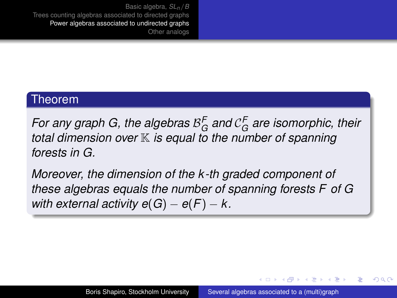#### Theorem

For any graph G, the algebras  $\mathcal{B}_G^F$  and  $\mathcal{C}_G^F$  are isomorphic, their *total dimension over* K *is equal to the number of spanning forests in G.*

*Moreover, the dimension of the k -th graded component of these algebras equals the number of spanning forests F of G with external activity e(G) – e(F) –*  $k$ *.* 

イロト イ押 トイヨ トイヨ トー

 $QQ$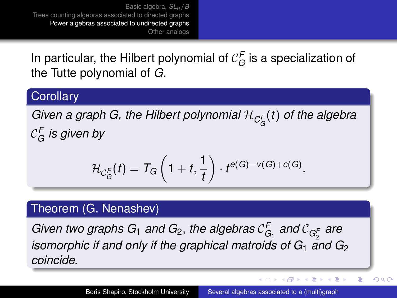In particular, the Hilbert polynomial of  $\mathcal{C}_G^{\mathcal{F}}$  is a specialization of the Tutte polynomial of *G*.

### **Corollary**

*Given a graph G, the Hilbert polynomial* H*C<sup>F</sup> G* (*t*) *of the algebra* C *F G is given by*

$$
\mathcal{H}_{\mathcal{C}_G^F}(t)=\mathcal{T}_G\left(1+t,\frac{1}{t}\right)\cdot t^{e(G)-v(G)+c(G)}.
$$

### Theorem (G. Nenashev)

Given two graphs G<sub>1</sub> and G<sub>2</sub>, the algebras  $\mathcal{C}_{G_1}^F$  and  $\mathcal{C}_{G_2^F}$  are 2 *isomorphic if and only if the graphical matroids of G*<sup>1</sup> *and G*<sup>2</sup> *coincide.*

イロメ 不優 トメ ヨ メ ス ヨ メー

 $\equiv$ 

 $290$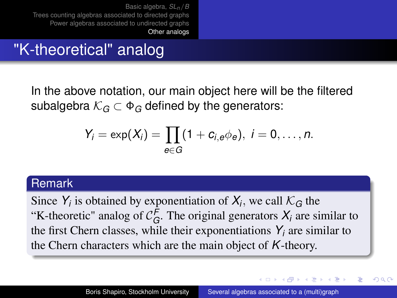# <span id="page-26-0"></span>"K-theoretical" analog

In the above notation, our main object here will be the filtered subalgebra  $K_G \subset \Phi_G$  defined by the generators:

$$
Y_i = \exp(X_i) = \prod_{e \in G} (1 + c_{i,e} \phi_e), i = 0, \ldots, n.
$$

#### Remark

Since  $Y_i$  is obtained by exponentiation of  $X_i$ , we call  $\mathcal{K}_G$  the "K-theoretic" analog of  $C_G^F$ . The original generators  $X_i$  are similar to the first Chern classes, while their exponentiations  $Y_i$  are similar to the Chern characters which are the main object of *K*-theory.

イロメ イ押 メイヨメ イヨメ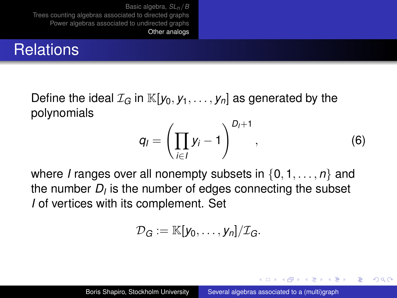# **Relations**

Define the ideal  $\mathcal{I}_G$  in  $\mathbb{K}[y_0, y_1, \ldots, y_n]$  as generated by the polynomials

$$
q_{l} = \left(\prod_{i \in I} y_{i} - 1\right)^{D_{l}+1}, \tag{6}
$$

イロメ イ押 メイヨメ イヨメ

 $QQ$ э

where *I* ranges over all nonempty subsets in {0, 1, . . . , *n*} and the number  $D_l$  is the number of edges connecting the subset *I* of vertices with its complement. Set

$$
\mathcal{D}_G:=\mathbb{K}[y_0,\ldots,y_n]/\mathcal{I}_G.
$$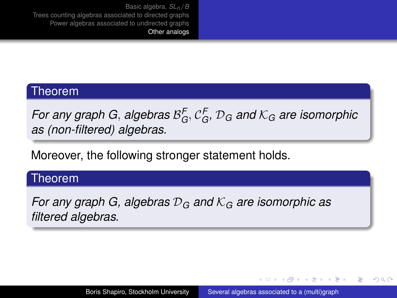#### Theorem

*For any graph G, algebras*  $\mathcal{B}_G^{\mathsf{F}}, \mathcal{C}_G^{\mathsf{F}}, \mathcal{D}_G$  and  $\mathcal{K}_G$  are isomorphic *as (non-filtered) algebras.*

Moreover, the following stronger statement holds.

#### Theorem

*For any graph G, algebras* D*<sup>G</sup> and* K*<sup>G</sup> are isomorphic as filtered algebras.*

**≮ロ ▶ ⊀ 御 ▶ ⊀ ヨ ▶ ⊀ ヨ ▶** 

÷.  $QQ$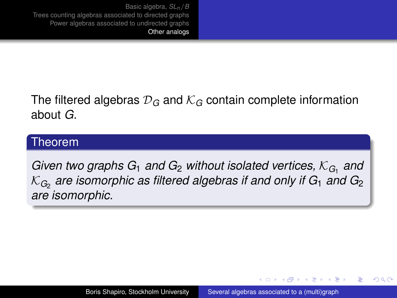The filtered algebras  $\mathcal{D}_G$  and  $\mathcal{K}_G$  contain complete information about *G*.

#### Theorem

Given two graphs  $G_1$  and  $G_2$  without isolated vertices,  $\mathcal{K}_{G_1}$  and  $\mathcal{K}_{\mathit{G}_{2}}$  are isomorphic as filtered algebras if and only if  $\mathit{G}_{1}$  and  $\mathit{G}_{2}$ *are isomorphic.*

イロメ イ押メ イヨメ イヨメー

 $QQ$ э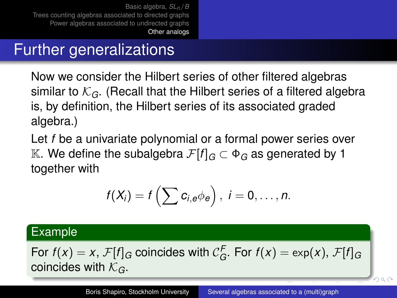# Further generalizations

Now we consider the Hilbert series of other filtered algebras similar to  $K_G$ . (Recall that the Hilbert series of a filtered algebra is, by definition, the Hilbert series of its associated graded algebra.)

Let *f* be a univariate polynomial or a formal power series over K. We define the subalgebra  $\mathcal{F}[f]$ <sub>*G*</sub> ⊂  $\Phi$ <sub>*G*</sub> as generated by 1 together with

$$
f(X_i) = f\left(\sum c_{i,e} \phi_e\right), i = 0,\ldots,n.
$$

### Example

For  $f(x) = x$ ,  $\mathcal{F}[f]_G$  coincides with  $\mathcal{C}_G^F$ . For  $f(x) = \exp(x)$ ,  $\mathcal{F}[f]_G$ coincides with K*G*.

 $Q \cap Q$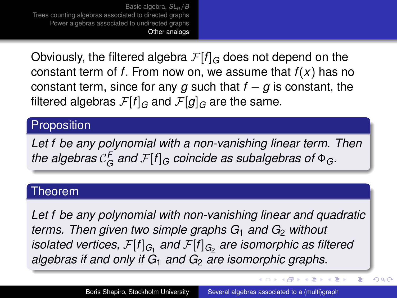Obviously, the filtered algebra  $\mathcal{F}[f]_G$  does not depend on the constant term of *f*. From now on, we assume that *f*(*x*) has no constant term, since for any  $g$  such that  $f - g$  is constant, the filtered algebras  $\mathcal{F}[f]_G$  and  $\mathcal{F}[g]_G$  are the same.

### **Proposition**

*Let f be any polynomial with a non-vanishing linear term. Then* the algebras  $\mathcal{C}_G^{\mathsf{F}}$  and  $\mathcal{F}[f]_G$  coincide as subalgebras of  $\Phi_G$ .

#### Theorem

*Let f be any polynomial with non-vanishing linear and quadratic terms. Then given two simple graphs G*<sub>1</sub> *and G*<sub>2</sub> *without isolated vertices,*  $\mathcal{F}[f]_{G_1}$  *and*  $\mathcal{F}[f]_{G_2}$  *are isomorphic as filtered algebras if and only if G*<sup>1</sup> *and G*<sup>2</sup> *are isomorphic graphs.*

**K ロ ト K 伺 ト K ヨ ト K ヨ ト** 

ă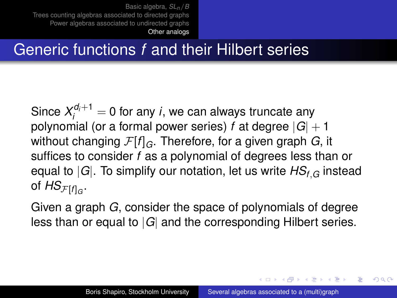# Generic functions *f* and their Hilbert series

Since  $X_i^{d_i+1} = 0$  for any *i*, we can always truncate any polynomial (or a formal power series)  $f$  at degree  $|G| + 1$ without changing F[*f*]*G*. Therefore, for a given graph *G*, it suffices to consider *f* as a polynomial of degrees less than or equal to |*G*|. To simplify our notation, let us write *HSf*,*<sup>G</sup>* instead of  $\mathsf{HS}_{\mathcal{F}[f]_G}.$ 

Given a graph *G*, consider the space of polynomials of degree less than or equal to |*G*| and the corresponding Hilbert series.

イロト イ押 トイヨ トイヨト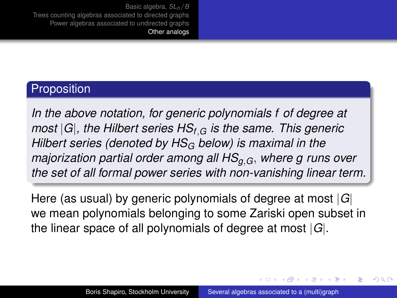### **Proposition**

*In the above notation, for generic polynomials f of degree at most* |*G*|*, the Hilbert series HSf*,*<sup>G</sup> is the same. This generic Hilbert series (denoted by HS<sup>G</sup> below) is maximal in the majorization partial order among all HSg*,*G*, *where g runs over the set of all formal power series with non-vanishing linear term.*

Here (as usual) by generic polynomials of degree at most |*G*| we mean polynomials belonging to some Zariski open subset in the linear space of all polynomials of degree at most |*G*|.

イロメ イ押 メイヨメ イヨメ

 $\Omega$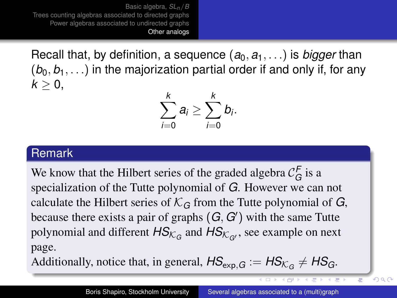<span id="page-34-0"></span>Recall that, by definition, a sequence  $(a_0, a_1, \ldots)$  is *bigger* than  $(b_0, b_1, \ldots)$  in the majorization partial order if and only if, for any  $k > 0$ ,

$$
\sum_{i=0}^k a_i \geq \sum_{i=0}^k b_i.
$$

### Remark

We know that the Hilbert series of the graded algebra  $\mathcal{C}_G^F$  is a specialization of the Tutte polynomial of *G*. However we can not calculate the Hilbert series of  $K_G$  from the Tutte polynomial of *G*, because there exists a pair of graphs  $(G, G')$  with the same Tutte polynomial and different  $\mathsf{HS}_{\mathcal{K}_G}$  and  $\mathsf{HS}_{\mathcal{K}_{G'}}$ , see example on next page.

Additionally, notice that, in general,  $\mathsf{HS}_{\textsf{exp,G}} := \mathsf{HS}_{\mathcal{K}_G} \neq \mathsf{HS}_G$ .

4 D F

イ門 トイミト イミト

 $290$ 

Ξ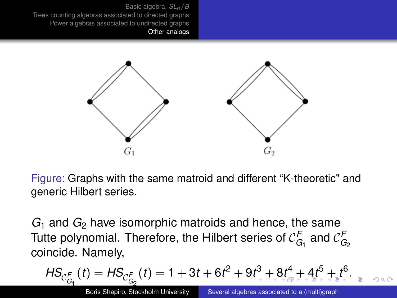<span id="page-35-0"></span>

Figure: Graphs with the same matroid and different "K-theoretic" and generic Hilbert series.

*G*<sub>1</sub> and *G*<sub>2</sub> have isomorphic matroids and hence, the same Tutte polynomial. Therefore, the Hilbert series of  $\mathcal{C}_{G_1}^{\mathsf{F}}$  and  $\mathcal{C}_{G_2}^{\mathsf{F}}$ coincide. Namely,

$$
\mathsf{HS}_{\mathcal{C}_{G_1}^{\mathcal{F}}}(t)=\mathsf{HS}_{\mathcal{C}_{G_2}^{\mathcal{F}}}(t)=1+3t+6t^2+9t^3+\mathsf{B}_{\mathsf{A}}^4+4t^5+\mathsf{B}_{\mathsf{A}}^4+\mathsf{B}_{\mathsf{B}}^5+\mathsf{B}_{\mathsf{B}}^6.
$$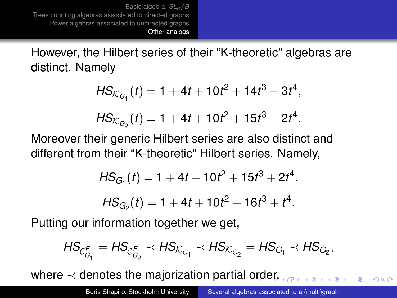<span id="page-36-0"></span>However, the Hilbert series of their "K-theoretic" algebras are distinct. Namely

$$
HS_{K_{G_1}}(t) = 1 + 4t + 10t^2 + 14t^3 + 3t^4,
$$
  

$$
HS_{K_{G_2}}(t) = 1 + 4t + 10t^2 + 15t^3 + 2t^4.
$$

Moreover their generic Hilbert series are also distinct and different from their "K-theoretic" Hilbert series. Namely,

$$
HS_{G_1}(t) = 1 + 4t + 10t^2 + 15t^3 + 2t^4,
$$

$$
HS_{G_2}(t) = 1 + 4t + 10t^2 + 16t^3 + t^4.
$$

Putting our information together we get,

$$
\mathit{HS}_{\mathcal{C}_{G_1}^{\mathcal{F}}}=\mathit{HS}_{\mathcal{C}_{G_2}^{\mathcal{F}}}\prec \mathit{HS}_{\mathcal{K}_{G_1}}\prec \mathit{HS}_{\mathcal{K}_{G_2}}=\mathit{HS}_{G_1}\prec \mathit{HS}_{G_2},
$$

where  $\prec$  denotes the majorization partial o[rd](#page-35-0)[er.](#page-37-0)

 $\Omega$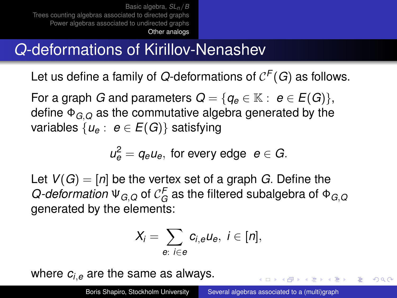# <span id="page-37-0"></span>*Q*-deformations of Kirillov-Nenashev

Let us define a family of *Q*-deformations of  $\mathcal{C}^F(G)$  as follows.

For a graph *G* and parameters  $Q = \{q_e \in \mathbb{K} : e \in E(G)\},\$ define Φ*G*,*<sup>Q</sup>* as the commutative algebra generated by the variables  $\{u_e : e \in E(G)\}$  satisfying

 $u_e^2 = q_e u_e$ , for every edge  $e \in G$ .

Let  $V(G) = [n]$  be the vertex set of a graph *G*. Define the  $Q$ -*deformation*  $\Psi_{G,Q}$  of  $\mathcal{C}_G^F$  as the filtered subalgebra of  $\Phi_{G,Q}$ generated by the elements:

$$
X_i=\sum_{e:\ i\in e}c_{i,e}u_e,\ i\in[n],
$$

where *ci*,*<sup>e</sup>* are the same as always.

イロト イ押 トイヨ トイヨ トー

 $QQ$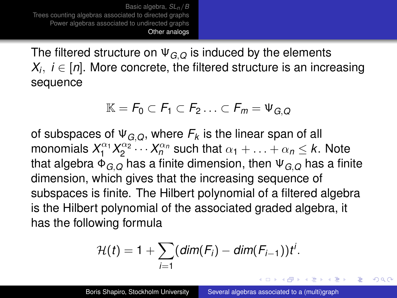The filtered structure on Ψ*G*,*<sup>Q</sup>* is induced by the elements *Xi* , *i* ∈ [*n*]. More concrete, the filtered structure is an increasing sequence

$$
\mathbb{K} = F_0 \subset F_1 \subset F_2 \ldots \subset F_m = \Psi_{G,Q}
$$

of subspaces of  $\Psi_{G,Q}$ , where  $F_k$  is the linear span of all monomials  $X_1^{\alpha_1} X_2^{\alpha_2} \cdots X_n^{\alpha_n}$  such that  $\alpha_1 + \ldots + \alpha_n \leq k$ . Note that algebra Φ*G*,*<sup>Q</sup>* has a finite dimension, then Ψ*G*,*<sup>Q</sup>* has a finite dimension, which gives that the increasing sequence of subspaces is finite. The Hilbert polynomial of a filtered algebra is the Hilbert polynomial of the associated graded algebra, it has the following formula

$$
\mathcal{H}(t)=1+\sum_{i=1}(dim(F_i)-dim(F_{i-1}))t^i.
$$

イロメ イ押 メイヨメ イヨメ

つへへ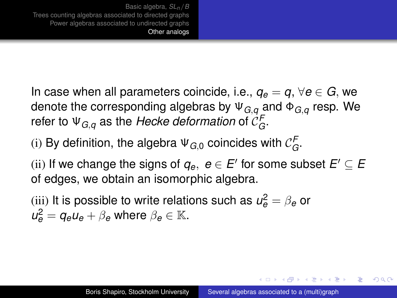In case when all parameters coincide, i.e.,  $q_e = q$ ,  $\forall e \in G$ , we denote the corresponding algebras by Ψ*G*,*<sup>q</sup>* and Φ*G*,*<sup>q</sup>* resp. We refer to  $\mathsf{\Psi}_{G,q}$  as the *Hecke deformation* of  $\mathcal{C}_G^F.$ 

(i) By definition, the algebra  $\Psi_{G,0}$  coincides with  $\mathcal{C}_G^F$ .

(ii) If we change the signs of  $q_e,~e\in E'$  for some subset  $E'\subseteq E$ of edges, we obtain an isomorphic algebra.

(iii) It is possible to write relations such as  $\mathcal{u}_{\bm{e}}^2 = \beta_{\bm{e}}$  or  $u_e^2 = q_e u_e + \beta_e$  where  $\beta_e \in \mathbb{K}$ .

イロメ イ押 メイヨメ イヨメ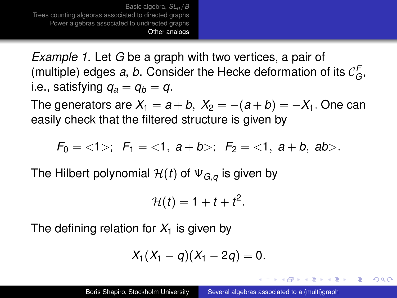*Example 1.* Let *G* be a graph with two vertices, a pair of (multiple) edges a, b. Consider the Hecke deformation of its  $\mathcal{C}_G^F$ , *i.e.*, satisfying  $q_a = q_b = q$ .

The generators are  $X_1 = a + b$ ,  $X_2 = -(a + b) = -X_1$ . One can easily check that the filtered structure is given by

$$
F_0 = \langle 1 \rangle; \ \ F_1 = \langle 1, a+b \rangle; \ \ F_2 = \langle 1, a+b, ab \rangle.
$$

The Hilbert polynomial  $\mathcal{H}(t)$  of  $\Psi_{Ga}$  is given by

$$
\mathcal{H}(t)=1+t+t^2.
$$

The defining relation for  $X_1$  is given by

$$
X_1(X_1-q)(X_1-2q)=0.
$$

イロメ イ押メ イヨメ イヨメー

つへへ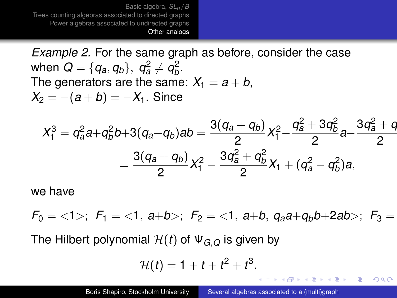*Example 2.* For the same graph as before, consider the case when  $Q = \{q_a, q_b\}, \ q_a^2 \neq q_b^2$ . The generators are the same:  $X_1 = a + b$ ,  $X_2 = -(a+b) = -X_1$ . Since

$$
X_1^3 = q_a^2a+q_b^2b+3(q_a+q_b)ab = \frac{3(q_a+q_b)}{2}X_1^2-\frac{q_a^2+3q_b^2}{2}a-\frac{3q_a^2+q_b^2}{2}
$$
  
= 
$$
\frac{3(q_a+q_b)}{2}X_1^2-\frac{3q_a^2+q_b^2}{2}X_1+(q_a^2-q_b^2)a,
$$

we have

 $F_0 = \langle 1 \rangle$ ;  $F_1 = \langle 1, a+b \rangle$ ;  $F_2 = \langle 1, a+b, a_a a+a_b b+2ab \rangle$ ;  $F_3 =$ 

The Hilbert polynomial  $H(t)$  of  $\Psi_{G,Q}$  is given by

$$
\mathcal{H}(t)=1+t+t^2+t^3.
$$

イロメ イ押メ イヨメ イヨメー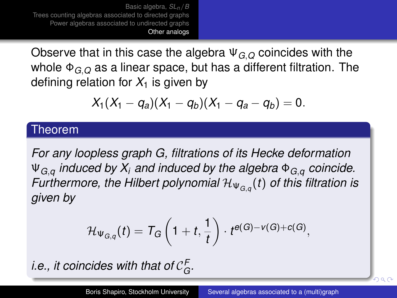Observe that in this case the algebra Ψ*G*,*<sup>Q</sup>* coincides with the whole Φ*G*,*<sup>Q</sup>* as a linear space, but has a different filtration. The defining relation for  $X_1$  is given by

$$
X_1(X_1-q_a)(X_1-q_b)(X_1-q_a-q_b)=0.
$$

#### Theorem

*For any loopless graph G, filtrations of its Hecke deformation* Ψ*G*,*<sup>q</sup> induced by X<sup>i</sup> and induced by the algebra* Φ*G*,*<sup>q</sup> coincide. Furthermore, the Hilbert polynomial*  $\mathcal{H}_{\Psi_{G,q}}(t)$  *of this filtration is given by*

$$
\mathcal{H}_{\Psi_{G,q}}(t)=\mathcal{T}_G\left(1+t,\frac{1}{t}\right)\cdot t^{\boldsymbol{e}(G)-\boldsymbol{\nu}(G)+\boldsymbol{c}(G)},
$$

*i.e., it coincides with that of*  $\mathcal{C}_G^{\mathsf{F}}$ *.* 

 $Q \cap C$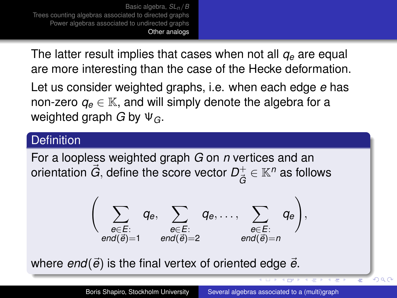The latter result implies that cases when not all *q<sup>e</sup>* are equal are more interesting than the case of the Hecke deformation.

Let us consider weighted graphs, i.e. when each edge *e* has non-zero  $q_e \in \mathbb{K}$ , and will simply denote the algebra for a weighted graph *G* by Ψ*G*.

### **Definition**

For a loopless weighted graph *G* on *n* vertices and an orientation  $\vec{G}$ , define the score vector  $D^+_{\vec{G}}$  $\vec{\tilde{G}}\in\mathbb{K}^{n}$  as follows

$$
\left(\sum_{\substack{e\in E:\\end(\vec{e})=1}}q_e,\sum_{\substack{e\in E:\\end(\vec{e})=2}}q_e,\ldots,\sum_{\substack{e\in E:\\end(\vec{e})=n}}q_e\right),
$$

where  $end(\vec{e})$  is the final vertex of oriented edge  $\vec{e}$ .

 $290$ 

**UP APPEARED**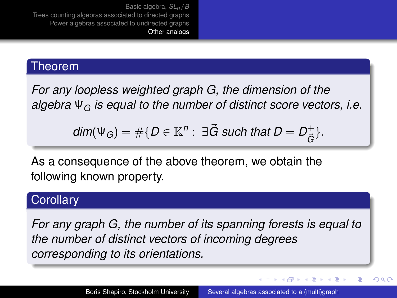### Theorem

*For any loopless weighted graph G, the dimension of the algebra* Ψ*<sup>G</sup> is equal to the number of distinct score vectors, i.e.*

$$
\text{dim}(\Psi_G)=\#\{D\in\mathbb{K}^n:~\exists \vec{G} \text{ such that } D=D^+_{\vec{G}}\}.
$$

As a consequence of the above theorem, we obtain the following known property.

### **Corollary**

*For any graph G, the number of its spanning forests is equal to the number of distinct vectors of incoming degrees corresponding to its orientations.*

ミト イヨト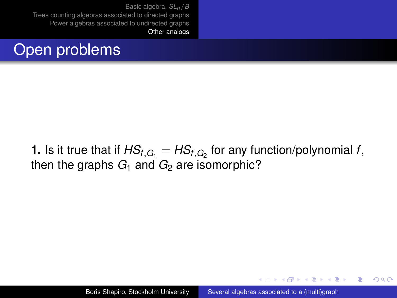

**1.** Is it true that if  $\mathsf{HS}_{f, G_1} = \mathsf{HS}_{f, G_2}$  for any function/polynomial  $f,$ then the graphs  $G_1$  and  $G_2$  are isomorphic?

イロメ イ押 メイヨメ イヨメ

ă.  $QQ$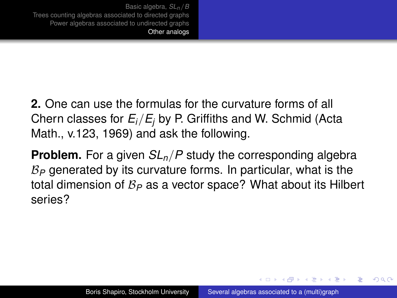**2.** One can use the formulas for the curvature forms of all Chern classes for *Ei*/*E<sup>j</sup>* by P. Griffiths and W. Schmid (Acta Math., v.123, 1969) and ask the following.

**Problem.** For a given *SLn*/*P* study the corresponding algebra B*<sup>P</sup>* generated by its curvature forms. In particular, what is the total dimension of B*<sup>P</sup>* as a vector space? What about its Hilbert series?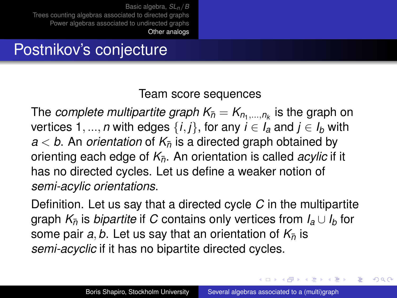# Postnikov's conjecture

### Team score sequences

The *complete multipartite graph*  $\mathsf{K}_{\bar{n}} = \mathsf{K}_{n_1,\dots,n_k}$  *is the graph on* vertices 1, ..., *n* with edges  $\{i, j\}$ , for any  $i \in I_a$  and  $j \in I_b$  with  $a < b$ . An *orientation* of  $K_{\overline{p}}$  is a directed graph obtained by orienting each edge of  $K_{\bar{p}}$ . An orientation is called *acylic* if it has no directed cycles. Let us define a weaker notion of *semi-acylic orientations*.

Definition. Let us say that a directed cycle *C* in the multipartite graph  $K_{\bar{p}}$  is *bipartite* if *C* contains only vertices from  $I_a \cup I_b$  for some pair *a*, *b*. Let us say that an orientation of  $K_{\overline{n}}$  is *semi-acyclic* if it has no bipartite directed cycles.

イロメ イ押 メイヨメ イヨメ

つへへ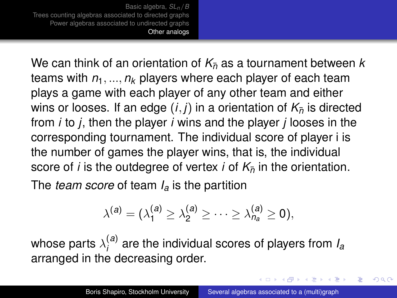We can think of an orientation of  $K_{\overline{p}}$  as a tournament between *k* teams with *n*1, ..., *n<sup>k</sup>* players where each player of each team plays a game with each player of any other team and either wins or looses. If an edge  $(i, j)$  in a orientation of  $K_{\overline{n}}$  is directed from *i* to *j*, then the player *i* wins and the player *j* looses in the corresponding tournament. The individual score of player i is the number of games the player wins, that is, the individual score of *i* is the outdegree of vertex *i* of  $K_{\overline{p}}$  in the orientation.

The *team score* of team *I<sup>a</sup>* is the partition

$$
\lambda^{(a)}=(\lambda^{(a)}_1\geq\lambda^{(a)}_2\geq\cdots\geq\lambda^{(a)}_{n_a}\geq 0),
$$

whose parts  $\lambda^{(\bm{a})}_i$ *i* are the individual scores of players from *I<sup>a</sup>* arranged in the decreasing order.

イロメ イ押 メイヨメ イヨメ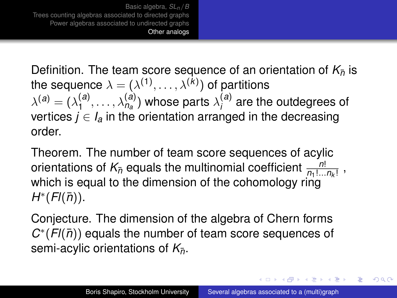Definition. The team score sequence of an orientation of  $K_{\bar{n}}$  is the sequence  $\lambda=(\lambda^{(1)},\ldots,\lambda^{(k)})$  of partitions  $\lambda^{(\mathit{a})} = (\lambda^{(\mathit{a})}_1$  $\lambda_{1}^{(a)},\ldots,\lambda_{n_{a}}^{(a)}$ ) whose parts  $\lambda_{i}^{(a)}$  $i^{(a)}$  are the outdegrees of vertices  $j \in I_a$  in the orientation arranged in the decreasing order.

Theorem. The number of team score sequences of acylic orientations of  $K_{\overline{n}}$  equals the multinomial coefficient  $\frac{n!}{n_1!...n_k!}$ , which is equal to the dimension of the cohomology ring  $H^*(Fl(\bar{n}))$ .

Conjecture. The dimension of the algebra of Chern forms  $C^*(Fl(\bar{n}))$  equals the number of team score sequences of semi-acylic orientations of  $K_{\bar{p}}$ .

イロメ イ押メ イヨメ イヨメー